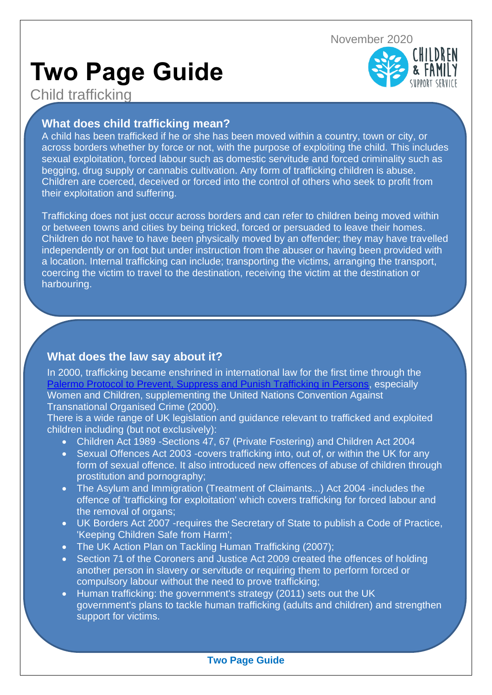# **Two Page Guide**



# Child trafficking

### **What does child trafficking mean?**

A child has been trafficked if he or she has been moved within a country, town or city, or across borders whether by force or not, with the purpose of exploiting the child. This includes sexual exploitation, forced labour such as domestic servitude and forced criminality such as begging, drug supply or cannabis cultivation. Any form of trafficking children is abuse. Children are coerced, deceived or forced into the control of others who seek to profit from their exploitation and suffering.

Trafficking does not just occur across borders and can refer to children being moved within or between towns and cities by being tricked, forced or persuaded to leave their homes. Children do not have to have been physically moved by an offender; they may have travelled independently or on foot but under instruction from the abuser or having been provided with a location. Internal trafficking can include; transporting the victims, arranging the transport, coercing the victim to travel to the destination, receiving the victim at the destination or harbouring.

## **What does the law say about it?**

Children cannot consent to their own exploitation

In 2000, trafficking became enshrined in international law for the first time through the [Palermo Protocol to Prevent, Suppress and Punish Trafficking in Persons,](https://www.ohchr.org/EN/ProfessionalInterest/Pages/ProtocolTraffickingInPersons.aspx) especially Women and Children, supplementing the United Nations Convention Against Transnational Organised Crime (2000).

There is a wide range of UK legislation and guidance relevant to trafficked and exploited children including (but not exclusively):

- Children Act 1989 -Sections 47, 67 (Private Fostering) and Children Act 2004
- Sexual Offences Act 2003 -covers trafficking into, out of, or within the UK for any form of sexual offence. It also introduced new offences of abuse of children through prostitution and pornography;
- The Asylum and Immigration (Treatment of Claimants...) Act 2004 -includes the offence of 'trafficking for exploitation' which covers trafficking for forced labour and the removal of organs;
- UK Borders Act 2007 -requires the Secretary of State to publish a Code of Practice, 'Keeping Children Safe from Harm';
- The UK Action Plan on Tackling Human Trafficking (2007);
- Section 71 of the Coroners and Justice Act 2009 created the offences of holding another person in slavery or servitude or requiring them to perform forced or compulsory labour without the need to prove trafficking;
- Human trafficking: the government's strategy (2011) sets out the UK government's plans to tackle human trafficking (adults and children) and strengthen support for victims.

#### **Two Page Guide**